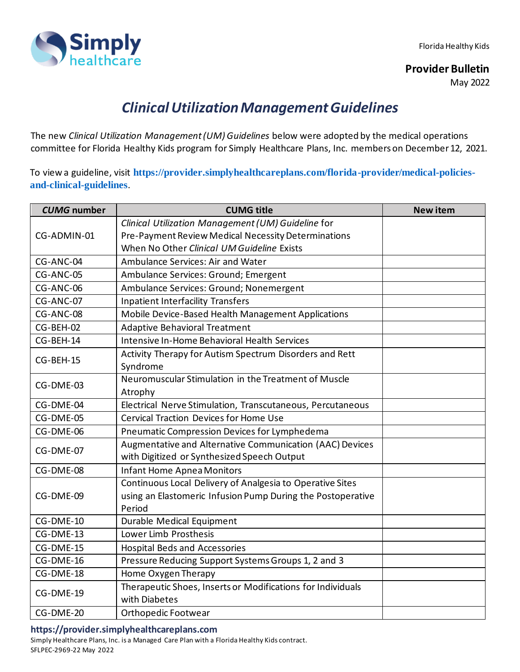Simply

Florida Healthy Kids

**Provider Bulletin**

May 2022

## *Clinical Utilization Management Guidelines*

The new *Clinical Utilization Management (UM) Guidelines* below were adopted by the medical operations committee for Florida Healthy Kids program for Simply Healthcare Plans, Inc. members on December12, 2021.

To view a guideline, visit **[https://provider.simplyhealthcareplans.com/florida-provider/medical-policies](https://provider.simplyhealthcareplans.com/florida-provider/medical-policies-and-clinical-guidelines)[and-clinical-guidelines](https://provider.simplyhealthcareplans.com/florida-provider/medical-policies-and-clinical-guidelines)**.

| <b>CUMG</b> number | <b>CUMG title</b>                                                            | <b>New item</b> |
|--------------------|------------------------------------------------------------------------------|-----------------|
|                    | Clinical Utilization Management (UM) Guideline for                           |                 |
| CG-ADMIN-01        | Pre-Payment Review Medical Necessity Determinations                          |                 |
|                    | When No Other Clinical UM Guideline Exists                                   |                 |
| CG-ANC-04          | Ambulance Services: Air and Water                                            |                 |
| CG-ANC-05          | Ambulance Services: Ground; Emergent                                         |                 |
| CG-ANC-06          | Ambulance Services: Ground; Nonemergent                                      |                 |
| CG-ANC-07          | <b>Inpatient Interfacility Transfers</b>                                     |                 |
| CG-ANC-08          | Mobile Device-Based Health Management Applications                           |                 |
| CG-BEH-02          | <b>Adaptive Behavioral Treatment</b>                                         |                 |
| CG-BEH-14          | Intensive In-Home Behavioral Health Services                                 |                 |
| CG-BEH-15          | Activity Therapy for Autism Spectrum Disorders and Rett                      |                 |
|                    | Syndrome                                                                     |                 |
| CG-DME-03          | Neuromuscular Stimulation in the Treatment of Muscle                         |                 |
|                    | Atrophy                                                                      |                 |
| CG-DME-04          | Electrical Nerve Stimulation, Transcutaneous, Percutaneous                   |                 |
| CG-DME-05          | Cervical Traction Devices for Home Use                                       |                 |
| CG-DME-06          | Pneumatic Compression Devices for Lymphedema                                 |                 |
| CG-DME-07          | Augmentative and Alternative Communication (AAC) Devices                     |                 |
|                    | with Digitized or Synthesized Speech Output                                  |                 |
| CG-DME-08          | <b>Infant Home Apnea Monitors</b>                                            |                 |
|                    | Continuous Local Delivery of Analgesia to Operative Sites                    |                 |
| CG-DME-09          | using an Elastomeric Infusion Pump During the Postoperative                  |                 |
|                    | Period                                                                       |                 |
| CG-DME-10          | Durable Medical Equipment                                                    |                 |
| CG-DME-13          | Lower Limb Prosthesis                                                        |                 |
| CG-DME-15          | <b>Hospital Beds and Accessories</b>                                         |                 |
| CG-DME-16          | Pressure Reducing Support Systems Groups 1, 2 and 3                          |                 |
| CG-DME-18          | Home Oxygen Therapy                                                          |                 |
| CG-DME-19          | Therapeutic Shoes, Inserts or Modifications for Individuals<br>with Diabetes |                 |
| CG-DME-20          | Orthopedic Footwear                                                          |                 |

## **https://provider.simplyhealthcareplans.com**

Simply Healthcare Plans, Inc. is a Managed Care Plan with a Florida Healthy Kids contract. SFLPEC-2969-22 May 2022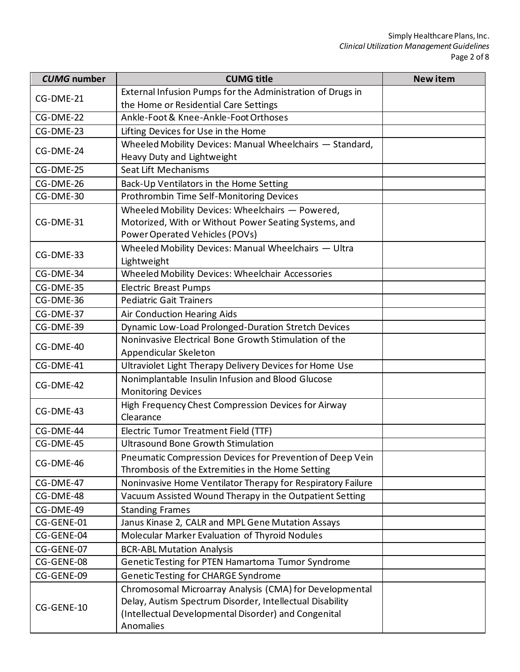| <b>CUMG</b> number | <b>CUMG title</b>                                           | <b>New item</b> |
|--------------------|-------------------------------------------------------------|-----------------|
| CG-DME-21          | External Infusion Pumps for the Administration of Drugs in  |                 |
|                    | the Home or Residential Care Settings                       |                 |
| CG-DME-22          | Ankle-Foot & Knee-Ankle-Foot Orthoses                       |                 |
| CG-DME-23          | Lifting Devices for Use in the Home                         |                 |
| CG-DME-24          | Wheeled Mobility Devices: Manual Wheelchairs - Standard,    |                 |
|                    | Heavy Duty and Lightweight                                  |                 |
| CG-DME-25          | Seat Lift Mechanisms                                        |                 |
| CG-DME-26          | Back-Up Ventilators in the Home Setting                     |                 |
| CG-DME-30          | Prothrombin Time Self-Monitoring Devices                    |                 |
|                    | Wheeled Mobility Devices: Wheelchairs - Powered,            |                 |
| CG-DME-31          | Motorized, With or Without Power Seating Systems, and       |                 |
|                    | Power Operated Vehicles (POVs)                              |                 |
| CG-DME-33          | Wheeled Mobility Devices: Manual Wheelchairs - Ultra        |                 |
|                    | Lightweight                                                 |                 |
| CG-DME-34          | Wheeled Mobility Devices: Wheelchair Accessories            |                 |
| CG-DME-35          | <b>Electric Breast Pumps</b>                                |                 |
| CG-DME-36          | <b>Pediatric Gait Trainers</b>                              |                 |
| CG-DME-37          | Air Conduction Hearing Aids                                 |                 |
| CG-DME-39          | Dynamic Low-Load Prolonged-Duration Stretch Devices         |                 |
| CG-DME-40          | Noninvasive Electrical Bone Growth Stimulation of the       |                 |
|                    | Appendicular Skeleton                                       |                 |
| CG-DME-41          | Ultraviolet Light Therapy Delivery Devices for Home Use     |                 |
| CG-DME-42          | Nonimplantable Insulin Infusion and Blood Glucose           |                 |
|                    | <b>Monitoring Devices</b>                                   |                 |
| CG-DME-43          | High Frequency Chest Compression Devices for Airway         |                 |
|                    | Clearance                                                   |                 |
| CG-DME-44          | Electric Tumor Treatment Field (TTF)                        |                 |
| CG-DME-45          | <b>Ultrasound Bone Growth Stimulation</b>                   |                 |
| CG-DME-46          | Pneumatic Compression Devices for Prevention of Deep Vein   |                 |
|                    | Thrombosis of the Extremities in the Home Setting           |                 |
| CG-DME-47          | Noninvasive Home Ventilator Therapy for Respiratory Failure |                 |
| CG-DME-48          | Vacuum Assisted Wound Therapy in the Outpatient Setting     |                 |
| CG-DME-49          | <b>Standing Frames</b>                                      |                 |
| CG-GENE-01         | Janus Kinase 2, CALR and MPL Gene Mutation Assays           |                 |
| CG-GENE-04         | Molecular Marker Evaluation of Thyroid Nodules              |                 |
| CG-GENE-07         | <b>BCR-ABL Mutation Analysis</b>                            |                 |
| CG-GENE-08         | Genetic Testing for PTEN Hamartoma Tumor Syndrome           |                 |
| CG-GENE-09         | Genetic Testing for CHARGE Syndrome                         |                 |
|                    | Chromosomal Microarray Analysis (CMA) for Developmental     |                 |
| CG-GENE-10         | Delay, Autism Spectrum Disorder, Intellectual Disability    |                 |
|                    | (Intellectual Developmental Disorder) and Congenital        |                 |
|                    | Anomalies                                                   |                 |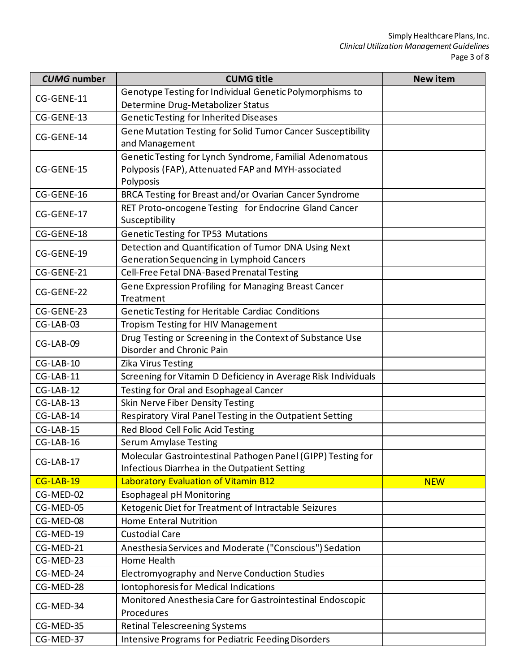| <b>CUMG</b> number | <b>CUMG title</b>                                              | <b>New item</b> |
|--------------------|----------------------------------------------------------------|-----------------|
| CG-GENE-11         | Genotype Testing for Individual Genetic Polymorphisms to       |                 |
|                    | Determine Drug-Metabolizer Status                              |                 |
| CG-GENE-13         | <b>Genetic Testing for Inherited Diseases</b>                  |                 |
| CG-GENE-14         | Gene Mutation Testing for Solid Tumor Cancer Susceptibility    |                 |
|                    | and Management                                                 |                 |
|                    | Genetic Testing for Lynch Syndrome, Familial Adenomatous       |                 |
| CG-GENE-15         | Polyposis (FAP), Attenuated FAP and MYH-associated             |                 |
|                    | Polyposis                                                      |                 |
| CG-GENE-16         | BRCA Testing for Breast and/or Ovarian Cancer Syndrome         |                 |
| CG-GENE-17         | RET Proto-oncogene Testing for Endocrine Gland Cancer          |                 |
|                    | Susceptibility                                                 |                 |
| CG-GENE-18         | <b>Genetic Testing for TP53 Mutations</b>                      |                 |
| CG-GENE-19         | Detection and Quantification of Tumor DNA Using Next           |                 |
|                    | <b>Generation Sequencing in Lymphoid Cancers</b>               |                 |
| CG-GENE-21         | Cell-Free Fetal DNA-Based Prenatal Testing                     |                 |
| CG-GENE-22         | Gene Expression Profiling for Managing Breast Cancer           |                 |
|                    | Treatment                                                      |                 |
| CG-GENE-23         | Genetic Testing for Heritable Cardiac Conditions               |                 |
| CG-LAB-03          | Tropism Testing for HIV Management                             |                 |
| CG-LAB-09          | Drug Testing or Screening in the Context of Substance Use      |                 |
|                    | Disorder and Chronic Pain                                      |                 |
| $CG-LAB-10$        | Zika Virus Testing                                             |                 |
| CG-LAB-11          | Screening for Vitamin D Deficiency in Average Risk Individuals |                 |
| $CG-LAB-12$        | Testing for Oral and Esophageal Cancer                         |                 |
| $CG-LAB-13$        | <b>Skin Nerve Fiber Density Testing</b>                        |                 |
| $CG-LAB-14$        | Respiratory Viral Panel Testing in the Outpatient Setting      |                 |
| CG-LAB-15          | Red Blood Cell Folic Acid Testing                              |                 |
| CG-LAB-16          | <b>Serum Amylase Testing</b>                                   |                 |
| CG-LAB-17          | Molecular Gastrointestinal Pathogen Panel (GIPP) Testing for   |                 |
|                    | Infectious Diarrhea in the Outpatient Setting                  |                 |
| $CG-LAB-19$        | Laboratory Evaluation of Vitamin B12                           | <b>NEW</b>      |
| CG-MED-02          | <b>Esophageal pH Monitoring</b>                                |                 |
| CG-MED-05          | Ketogenic Diet for Treatment of Intractable Seizures           |                 |
| CG-MED-08          | <b>Home Enteral Nutrition</b>                                  |                 |
| CG-MED-19          | <b>Custodial Care</b>                                          |                 |
| CG-MED-21          | Anesthesia Services and Moderate ("Conscious") Sedation        |                 |
| CG-MED-23          | Home Health                                                    |                 |
| CG-MED-24          | Electromyography and Nerve Conduction Studies                  |                 |
| CG-MED-28          | Iontophoresis for Medical Indications                          |                 |
| CG-MED-34          | Monitored Anesthesia Care for Gastrointestinal Endoscopic      |                 |
| CG-MED-35          | Procedures                                                     |                 |
|                    | <b>Retinal Telescreening Systems</b>                           |                 |
| CG-MED-37          | <b>Intensive Programs for Pediatric Feeding Disorders</b>      |                 |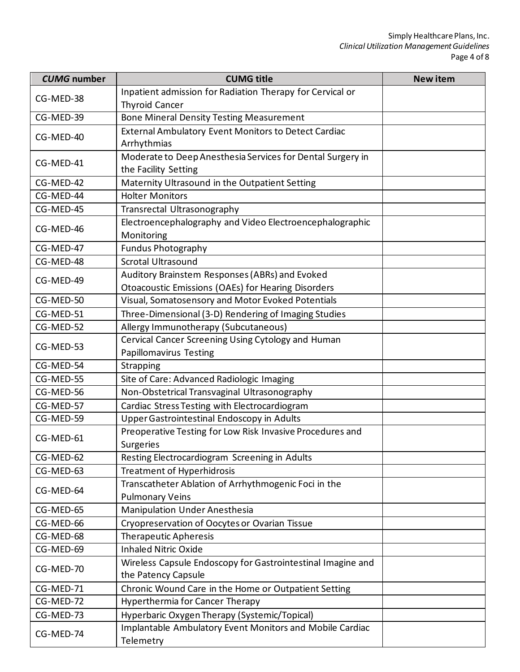| <b>CUMG</b> number | <b>CUMG title</b>                                           | <b>New item</b> |
|--------------------|-------------------------------------------------------------|-----------------|
| CG-MED-38          | Inpatient admission for Radiation Therapy for Cervical or   |                 |
|                    | <b>Thyroid Cancer</b>                                       |                 |
| CG-MED-39          | <b>Bone Mineral Density Testing Measurement</b>             |                 |
| CG-MED-40          | External Ambulatory Event Monitors to Detect Cardiac        |                 |
|                    | Arrhythmias                                                 |                 |
| CG-MED-41          | Moderate to Deep Anesthesia Services for Dental Surgery in  |                 |
|                    | the Facility Setting                                        |                 |
| CG-MED-42          | Maternity Ultrasound in the Outpatient Setting              |                 |
| CG-MED-44          | <b>Holter Monitors</b>                                      |                 |
| CG-MED-45          | Transrectal Ultrasonography                                 |                 |
| CG-MED-46          | Electroencephalography and Video Electroencephalographic    |                 |
|                    | Monitoring                                                  |                 |
| CG-MED-47          | <b>Fundus Photography</b>                                   |                 |
| CG-MED-48          | <b>Scrotal Ultrasound</b>                                   |                 |
| CG-MED-49          | Auditory Brainstem Responses (ABRs) and Evoked              |                 |
|                    | <b>Otoacoustic Emissions (OAEs) for Hearing Disorders</b>   |                 |
| CG-MED-50          | Visual, Somatosensory and Motor Evoked Potentials           |                 |
| CG-MED-51          | Three-Dimensional (3-D) Rendering of Imaging Studies        |                 |
| CG-MED-52          | Allergy Immunotherapy (Subcutaneous)                        |                 |
| CG-MED-53          | Cervical Cancer Screening Using Cytology and Human          |                 |
|                    | Papillomavirus Testing                                      |                 |
| CG-MED-54          | Strapping                                                   |                 |
| CG-MED-55          | Site of Care: Advanced Radiologic Imaging                   |                 |
| CG-MED-56          | Non-Obstetrical Transvaginal Ultrasonography                |                 |
| CG-MED-57          | Cardiac Stress Testing with Electrocardiogram               |                 |
| CG-MED-59          | Upper Gastrointestinal Endoscopy in Adults                  |                 |
| CG-MED-61          | Preoperative Testing for Low Risk Invasive Procedures and   |                 |
|                    | <b>Surgeries</b>                                            |                 |
| CG-MED-62          | Resting Electrocardiogram Screening in Adults               |                 |
| CG-MED-63          | <b>Treatment of Hyperhidrosis</b>                           |                 |
| CG-MED-64          | Transcatheter Ablation of Arrhythmogenic Foci in the        |                 |
|                    | <b>Pulmonary Veins</b>                                      |                 |
| CG-MED-65          | <b>Manipulation Under Anesthesia</b>                        |                 |
| CG-MED-66          | Cryopreservation of Oocytes or Ovarian Tissue               |                 |
| CG-MED-68          | <b>Therapeutic Apheresis</b>                                |                 |
| $CG-MED-69$        | <b>Inhaled Nitric Oxide</b>                                 |                 |
|                    | Wireless Capsule Endoscopy for Gastrointestinal Imagine and |                 |
| CG-MED-70          | the Patency Capsule                                         |                 |
| CG-MED-71          | Chronic Wound Care in the Home or Outpatient Setting        |                 |
| CG-MED-72          | Hyperthermia for Cancer Therapy                             |                 |
| CG-MED-73          | Hyperbaric Oxygen Therapy (Systemic/Topical)                |                 |
|                    | Implantable Ambulatory Event Monitors and Mobile Cardiac    |                 |
| CG-MED-74          | Telemetry                                                   |                 |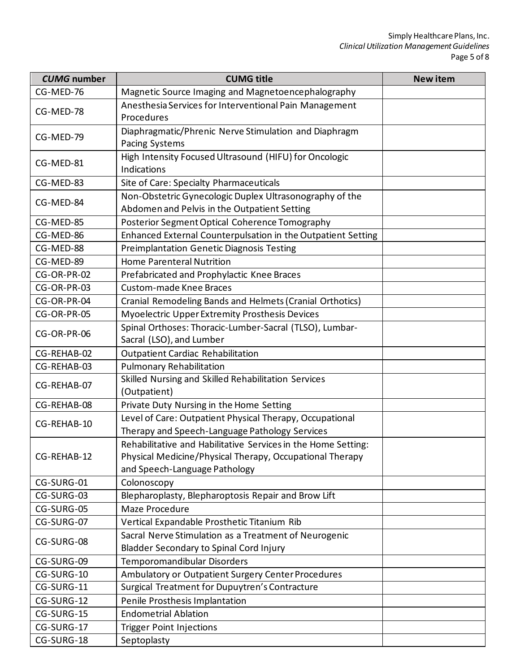| <b>CUMG</b> number | <b>CUMG title</b>                                                                                                                                          | <b>New item</b> |
|--------------------|------------------------------------------------------------------------------------------------------------------------------------------------------------|-----------------|
| CG-MED-76          | Magnetic Source Imaging and Magnetoencephalography                                                                                                         |                 |
| CG-MED-78          | Anesthesia Services for Interventional Pain Management<br>Procedures                                                                                       |                 |
| CG-MED-79          | Diaphragmatic/Phrenic Nerve Stimulation and Diaphragm<br><b>Pacing Systems</b>                                                                             |                 |
| CG-MED-81          | High Intensity Focused Ultrasound (HIFU) for Oncologic<br><b>Indications</b>                                                                               |                 |
| CG-MED-83          | Site of Care: Specialty Pharmaceuticals                                                                                                                    |                 |
| CG-MED-84          | Non-Obstetric Gynecologic Duplex Ultrasonography of the<br>Abdomen and Pelvis in the Outpatient Setting                                                    |                 |
| CG-MED-85          | Posterior Segment Optical Coherence Tomography                                                                                                             |                 |
| CG-MED-86          | Enhanced External Counterpulsation in the Outpatient Setting                                                                                               |                 |
| CG-MED-88          | <b>Preimplantation Genetic Diagnosis Testing</b>                                                                                                           |                 |
| CG-MED-89          | <b>Home Parenteral Nutrition</b>                                                                                                                           |                 |
| CG-OR-PR-02        | Prefabricated and Prophylactic Knee Braces                                                                                                                 |                 |
| CG-OR-PR-03        | <b>Custom-made Knee Braces</b>                                                                                                                             |                 |
| CG-OR-PR-04        | Cranial Remodeling Bands and Helmets (Cranial Orthotics)                                                                                                   |                 |
| CG-OR-PR-05        | Myoelectric Upper Extremity Prosthesis Devices                                                                                                             |                 |
| CG-OR-PR-06        | Spinal Orthoses: Thoracic-Lumber-Sacral (TLSO), Lumbar-<br>Sacral (LSO), and Lumber                                                                        |                 |
| CG-REHAB-02        | <b>Outpatient Cardiac Rehabilitation</b>                                                                                                                   |                 |
| CG-REHAB-03        | <b>Pulmonary Rehabilitation</b>                                                                                                                            |                 |
| CG-REHAB-07        | Skilled Nursing and Skilled Rehabilitation Services<br>(Outpatient)                                                                                        |                 |
| CG-REHAB-08        | Private Duty Nursing in the Home Setting                                                                                                                   |                 |
| CG-REHAB-10        | Level of Care: Outpatient Physical Therapy, Occupational                                                                                                   |                 |
|                    | Therapy and Speech-Language Pathology Services                                                                                                             |                 |
| CG-REHAB-12        | Rehabilitative and Habilitative Services in the Home Setting:<br>Physical Medicine/Physical Therapy, Occupational Therapy<br>and Speech-Language Pathology |                 |
| CG-SURG-01         | Colonoscopy                                                                                                                                                |                 |
| CG-SURG-03         | Blepharoplasty, Blepharoptosis Repair and Brow Lift                                                                                                        |                 |
| CG-SURG-05         | Maze Procedure                                                                                                                                             |                 |
| CG-SURG-07         | Vertical Expandable Prosthetic Titanium Rib                                                                                                                |                 |
| CG-SURG-08         | Sacral Nerve Stimulation as a Treatment of Neurogenic<br>Bladder Secondary to Spinal Cord Injury                                                           |                 |
| CG-SURG-09         | Temporomandibular Disorders                                                                                                                                |                 |
| CG-SURG-10         | Ambulatory or Outpatient Surgery Center Procedures                                                                                                         |                 |
| CG-SURG-11         | Surgical Treatment for Dupuytren's Contracture                                                                                                             |                 |
| CG-SURG-12         | Penile Prosthesis Implantation                                                                                                                             |                 |
| CG-SURG-15         | <b>Endometrial Ablation</b>                                                                                                                                |                 |
| CG-SURG-17         | <b>Trigger Point Injections</b>                                                                                                                            |                 |
| CG-SURG-18         | Septoplasty                                                                                                                                                |                 |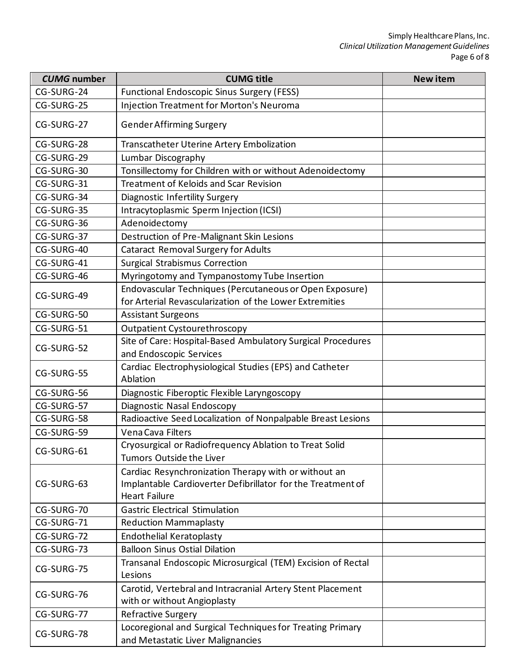| <b>CUMG</b> number | <b>CUMG title</b>                                                                                                                           | <b>New item</b> |
|--------------------|---------------------------------------------------------------------------------------------------------------------------------------------|-----------------|
| CG-SURG-24         | <b>Functional Endoscopic Sinus Surgery (FESS)</b>                                                                                           |                 |
| CG-SURG-25         | <b>Injection Treatment for Morton's Neuroma</b>                                                                                             |                 |
| CG-SURG-27         | <b>Gender Affirming Surgery</b>                                                                                                             |                 |
| CG-SURG-28         | Transcatheter Uterine Artery Embolization                                                                                                   |                 |
| CG-SURG-29         | Lumbar Discography                                                                                                                          |                 |
| CG-SURG-30         | Tonsillectomy for Children with or without Adenoidectomy                                                                                    |                 |
| CG-SURG-31         | <b>Treatment of Keloids and Scar Revision</b>                                                                                               |                 |
| CG-SURG-34         | Diagnostic Infertility Surgery                                                                                                              |                 |
| CG-SURG-35         | Intracytoplasmic Sperm Injection (ICSI)                                                                                                     |                 |
| CG-SURG-36         | Adenoidectomy                                                                                                                               |                 |
| CG-SURG-37         | Destruction of Pre-Malignant Skin Lesions                                                                                                   |                 |
| CG-SURG-40         | <b>Cataract Removal Surgery for Adults</b>                                                                                                  |                 |
| CG-SURG-41         | <b>Surgical Strabismus Correction</b>                                                                                                       |                 |
| CG-SURG-46         | Myringotomy and Tympanostomy Tube Insertion                                                                                                 |                 |
| CG-SURG-49         | Endovascular Techniques (Percutaneous or Open Exposure)                                                                                     |                 |
|                    | for Arterial Revascularization of the Lower Extremities                                                                                     |                 |
| CG-SURG-50         | <b>Assistant Surgeons</b>                                                                                                                   |                 |
| CG-SURG-51         | <b>Outpatient Cystourethroscopy</b>                                                                                                         |                 |
| CG-SURG-52         | Site of Care: Hospital-Based Ambulatory Surgical Procedures<br>and Endoscopic Services                                                      |                 |
| CG-SURG-55         | Cardiac Electrophysiological Studies (EPS) and Catheter<br>Ablation                                                                         |                 |
| CG-SURG-56         | Diagnostic Fiberoptic Flexible Laryngoscopy                                                                                                 |                 |
| CG-SURG-57         | Diagnostic Nasal Endoscopy                                                                                                                  |                 |
| CG-SURG-58         | Radioactive Seed Localization of Nonpalpable Breast Lesions                                                                                 |                 |
| CG-SURG-59         | Vena Cava Filters                                                                                                                           |                 |
| CG-SURG-61         | Cryosurgical or Radiofrequency Ablation to Treat Solid<br>Tumors Outside the Liver                                                          |                 |
| CG-SURG-63         | Cardiac Resynchronization Therapy with or without an<br>Implantable Cardioverter Defibrillator for the Treatment of<br><b>Heart Failure</b> |                 |
| CG-SURG-70         | <b>Gastric Electrical Stimulation</b>                                                                                                       |                 |
| CG-SURG-71         | <b>Reduction Mammaplasty</b>                                                                                                                |                 |
| CG-SURG-72         | <b>Endothelial Keratoplasty</b>                                                                                                             |                 |
| CG-SURG-73         | <b>Balloon Sinus Ostial Dilation</b>                                                                                                        |                 |
| CG-SURG-75         | Transanal Endoscopic Microsurgical (TEM) Excision of Rectal<br>Lesions                                                                      |                 |
| CG-SURG-76         | Carotid, Vertebral and Intracranial Artery Stent Placement<br>with or without Angioplasty                                                   |                 |
| CG-SURG-77         | Refractive Surgery                                                                                                                          |                 |
| CG-SURG-78         | Locoregional and Surgical Techniques for Treating Primary<br>and Metastatic Liver Malignancies                                              |                 |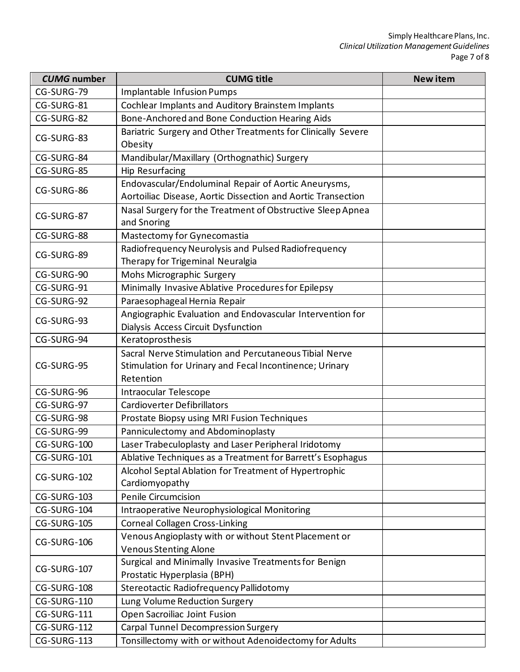| <b>CUMG</b> number | <b>CUMG title</b>                                                                                                              | <b>New item</b> |
|--------------------|--------------------------------------------------------------------------------------------------------------------------------|-----------------|
| CG-SURG-79         | Implantable Infusion Pumps                                                                                                     |                 |
| CG-SURG-81         | Cochlear Implants and Auditory Brainstem Implants                                                                              |                 |
| CG-SURG-82         | Bone-Anchored and Bone Conduction Hearing Aids                                                                                 |                 |
| CG-SURG-83         | Bariatric Surgery and Other Treatments for Clinically Severe<br>Obesity                                                        |                 |
| CG-SURG-84         | Mandibular/Maxillary (Orthognathic) Surgery                                                                                    |                 |
| CG-SURG-85         | <b>Hip Resurfacing</b>                                                                                                         |                 |
| CG-SURG-86         | Endovascular/Endoluminal Repair of Aortic Aneurysms,<br>Aortoiliac Disease, Aortic Dissection and Aortic Transection           |                 |
| CG-SURG-87         | Nasal Surgery for the Treatment of Obstructive Sleep Apnea<br>and Snoring                                                      |                 |
| CG-SURG-88         | Mastectomy for Gynecomastia                                                                                                    |                 |
| CG-SURG-89         | Radiofrequency Neurolysis and Pulsed Radiofrequency<br>Therapy for Trigeminal Neuralgia                                        |                 |
| CG-SURG-90         | Mohs Micrographic Surgery                                                                                                      |                 |
| CG-SURG-91         | Minimally Invasive Ablative Procedures for Epilepsy                                                                            |                 |
| CG-SURG-92         | Paraesophageal Hernia Repair                                                                                                   |                 |
| CG-SURG-93         | Angiographic Evaluation and Endovascular Intervention for<br>Dialysis Access Circuit Dysfunction                               |                 |
| CG-SURG-94         | Keratoprosthesis                                                                                                               |                 |
| CG-SURG-95         | Sacral Nerve Stimulation and Percutaneous Tibial Nerve<br>Stimulation for Urinary and Fecal Incontinence; Urinary<br>Retention |                 |
| CG-SURG-96         | Intraocular Telescope                                                                                                          |                 |
| CG-SURG-97         | <b>Cardioverter Defibrillators</b>                                                                                             |                 |
| CG-SURG-98         | Prostate Biopsy using MRI Fusion Techniques                                                                                    |                 |
| CG-SURG-99         | Panniculectomy and Abdominoplasty                                                                                              |                 |
| CG-SURG-100        | Laser Trabeculoplasty and Laser Peripheral Iridotomy                                                                           |                 |
| CG-SURG-101        | Ablative Techniques as a Treatment for Barrett's Esophagus                                                                     |                 |
| CG-SURG-102        | Alcohol Septal Ablation for Treatment of Hypertrophic<br>Cardiomyopathy                                                        |                 |
| CG-SURG-103        | <b>Penile Circumcision</b>                                                                                                     |                 |
| CG-SURG-104        | Intraoperative Neurophysiological Monitoring                                                                                   |                 |
| CG-SURG-105        | <b>Corneal Collagen Cross-Linking</b>                                                                                          |                 |
| CG-SURG-106        | Venous Angioplasty with or without Stent Placement or<br><b>Venous Stenting Alone</b>                                          |                 |
| CG-SURG-107        | Surgical and Minimally Invasive Treatments for Benign<br>Prostatic Hyperplasia (BPH)                                           |                 |
| CG-SURG-108        | Stereotactic Radiofrequency Pallidotomy                                                                                        |                 |
| CG-SURG-110        | Lung Volume Reduction Surgery                                                                                                  |                 |
| CG-SURG-111        | Open Sacroiliac Joint Fusion                                                                                                   |                 |
| CG-SURG-112        | <b>Carpal Tunnel Decompression Surgery</b>                                                                                     |                 |
| CG-SURG-113        | Tonsillectomy with or without Adenoidectomy for Adults                                                                         |                 |